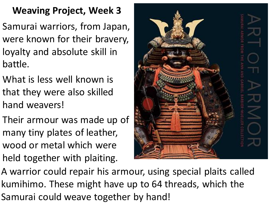## **Weaving Project, Week 3**

- Samurai warriors, from Japan, were known for their bravery, loyalty and absolute skill in battle.
- What is less well known is that they were also skilled hand weavers!
- Their armour was made up of many tiny plates of leather, wood or metal which were held together with plaiting.



A warrior could repair his armour, using special plaits called kumihimo. These might have up to 64 threads, which the Samurai could weave together by hand!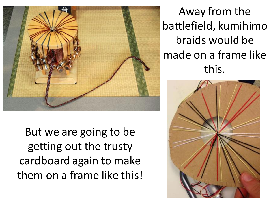

But we are going to be getting out the trusty cardboard again to make them on a frame like this!

Away from the battlefield, kumihimo braids would be made on a frame like this.

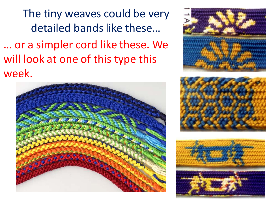The tiny weaves could be very detailed bands like these… … or a simpler cord like these. We will look at one of this type this week.







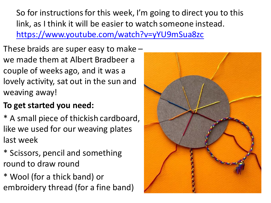So for instructions for this week, I'm going to direct you to this link, as I think it will be easier to watch someone instead. <https://www.youtube.com/watch?v=yYU9mSua8zc>

These braids are super easy to make – we made them at Albert Bradbeer a couple of weeks ago, and it was a lovely activity, sat out in the sun and weaving away!

## **To get started you need:**

\* A small piece of thickish cardboard, like we used for our weaving plates last week

\* Scissors, pencil and something round to draw round

\* Wool (for a thick band) or embroidery thread (for a fine band)

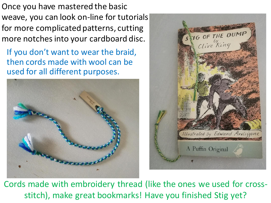Once you have mastered the basic weave, you can look on-line for tutorials for more complicated patterns, cutting more notches into your cardboard disc.

If you don't want to wear the braid, then cords made with wool can be used for all different purposes.





Cords made with embroidery thread (like the ones we used for crossstitch), make great bookmarks! Have you finished Stig yet?